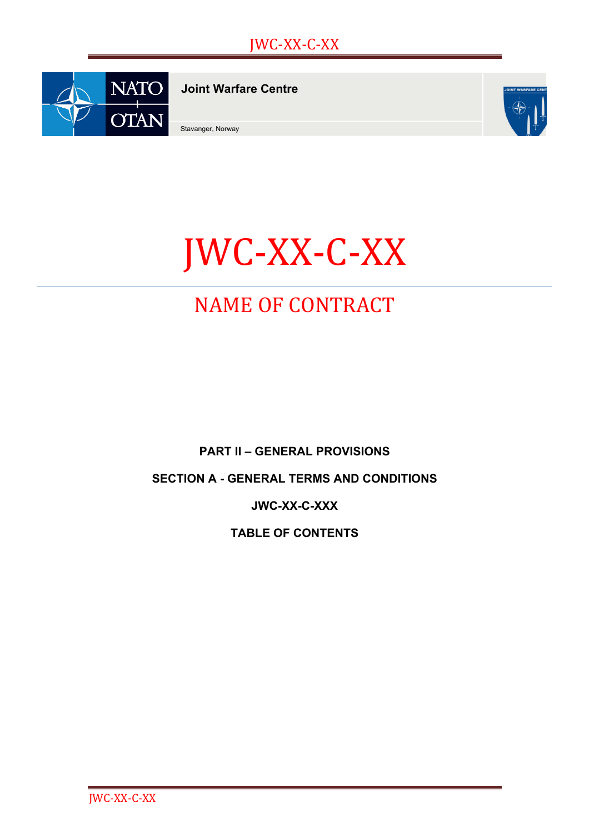

**Joint Warfare Centre**

Stavanger, Norway



# JWC-XX-C-XX

## NAME OF CONTRACT

**PART II – GENERAL PROVISIONS**

**SECTION A - GENERAL TERMS AND CONDITIONS**

**JWC-XX-C-XXX**

**TABLE OF CONTENTS**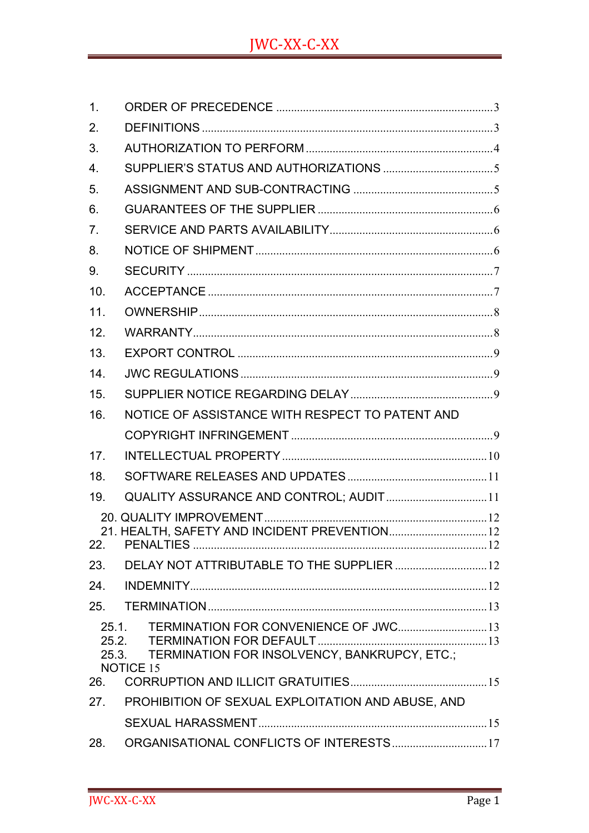| $\mathbf 1$ .                                                                                                                 |                                                   |
|-------------------------------------------------------------------------------------------------------------------------------|---------------------------------------------------|
| 2.                                                                                                                            |                                                   |
| 3.                                                                                                                            |                                                   |
| $\overline{4}$ .                                                                                                              |                                                   |
| 5.                                                                                                                            |                                                   |
| 6.                                                                                                                            |                                                   |
| 7.                                                                                                                            |                                                   |
| 8.                                                                                                                            |                                                   |
| 9.                                                                                                                            |                                                   |
| 10.                                                                                                                           |                                                   |
| 11.                                                                                                                           |                                                   |
| 12.                                                                                                                           |                                                   |
| 13.                                                                                                                           |                                                   |
| 14.                                                                                                                           |                                                   |
| 15.                                                                                                                           |                                                   |
| 16.                                                                                                                           | NOTICE OF ASSISTANCE WITH RESPECT TO PATENT AND   |
|                                                                                                                               |                                                   |
| 17.                                                                                                                           |                                                   |
| 18.                                                                                                                           |                                                   |
| 19.                                                                                                                           | QUALITY ASSURANCE AND CONTROL; AUDIT 11           |
|                                                                                                                               |                                                   |
| 22.                                                                                                                           | 21. HEALTH, SAFETY AND INCIDENT PREVENTION 12     |
| 23.                                                                                                                           | DELAY NOT ATTRIBUTABLE TO THE SUPPLIER  12        |
| 24.                                                                                                                           |                                                   |
|                                                                                                                               |                                                   |
| TERMINATION FOR CONVENIENCE OF JWC 13<br>25.1.<br>25.2.<br>TERMINATION FOR INSOLVENCY, BANKRUPCY, ETC.;<br>25.3.<br>NOTICE 15 |                                                   |
| 26.                                                                                                                           |                                                   |
| 27.                                                                                                                           | PROHIBITION OF SEXUAL EXPLOITATION AND ABUSE, AND |
|                                                                                                                               |                                                   |
| 28.                                                                                                                           | ORGANISATIONAL CONFLICTS OF INTERESTS 17          |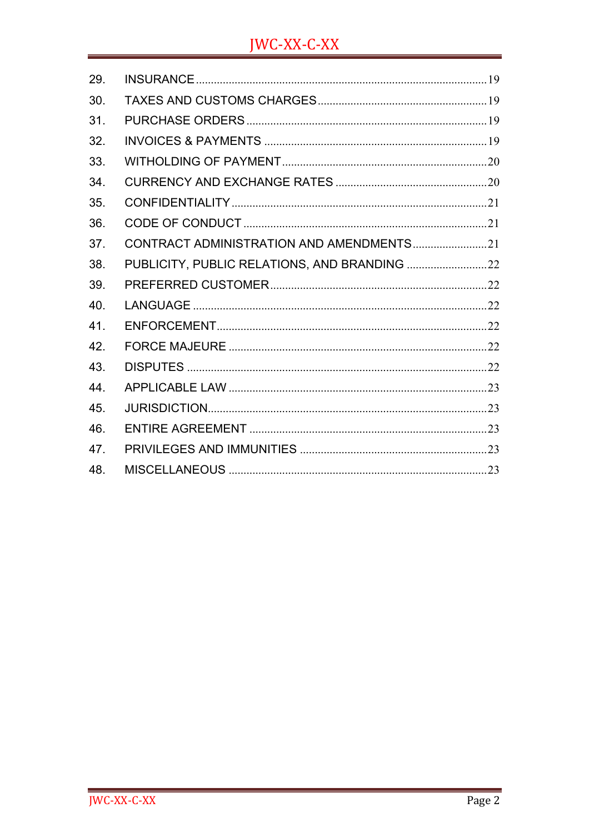### **JWC-XX-C-XX**

| 29. |                                          |  |
|-----|------------------------------------------|--|
| 30. |                                          |  |
| 31. |                                          |  |
| 32. |                                          |  |
| 33. |                                          |  |
| 34. |                                          |  |
| 35. |                                          |  |
| 36. |                                          |  |
| 37. | CONTRACT ADMINISTRATION AND AMENDMENTS21 |  |
| 38. |                                          |  |
| 39. |                                          |  |
| 40. |                                          |  |
| 41. |                                          |  |
| 42. |                                          |  |
| 43. |                                          |  |
| 44. |                                          |  |
| 45. |                                          |  |
| 46. |                                          |  |
| 47. |                                          |  |
| 48. |                                          |  |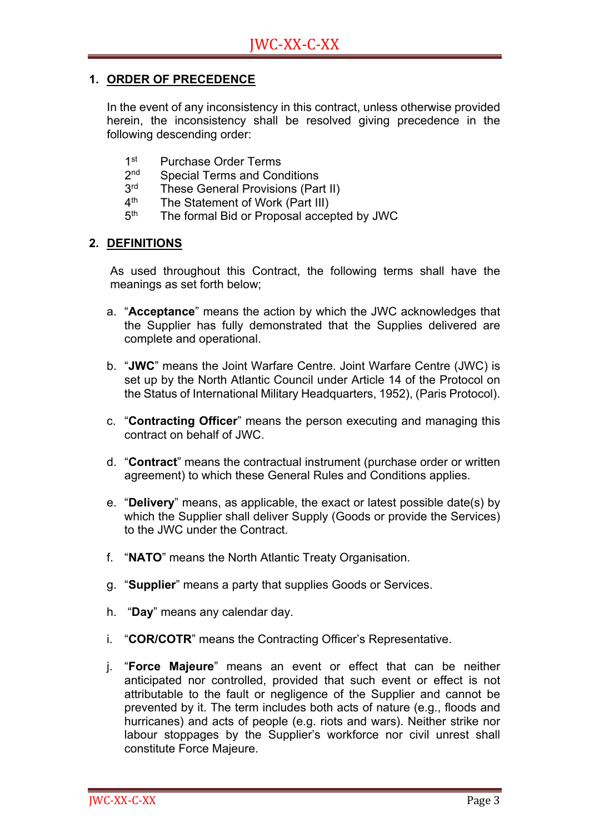#### **1. ORDER OF PRECEDENCE**

In the event of any inconsistency in this contract, unless otherwise provided herein, the inconsistency shall be resolved giving precedence in the following descending order:

- 1st Purchase Order Terms
- 2<sup>nd</sup> Special Terms and Conditions<br>3<sup>rd</sup> These General Provisions (Par
- $3<sup>rd</sup>$  These General Provisions (Part II)<br> $4<sup>th</sup>$  The Statement of Work (Part III)
- The Statement of Work (Part III)
- 5<sup>th</sup> The formal Bid or Proposal accepted by JWC

#### **2. DEFINITIONS**

As used throughout this Contract, the following terms shall have the meanings as set forth below;

- a. "**Acceptance**" means the action by which the JWC acknowledges that the Supplier has fully demonstrated that the Supplies delivered are complete and operational.
- b. "**JWC**" means the Joint Warfare Centre. Joint Warfare Centre (JWC) is set up by the North Atlantic Council under Article 14 of the Protocol on the Status of International Military Headquarters, 1952), (Paris Protocol).
- c. "**Contracting Officer**" means the person executing and managing this contract on behalf of JWC.
- d. "**Contract**" means the contractual instrument (purchase order or written agreement) to which these General Rules and Conditions applies.
- e. "**Delivery**" means, as applicable, the exact or latest possible date(s) by which the Supplier shall deliver Supply (Goods or provide the Services) to the JWC under the Contract.
- f. "**NATO**" means the North Atlantic Treaty Organisation.
- g. "**Supplier**" means a party that supplies Goods or Services.
- h. "**Day**" means any calendar day.
- i. "**COR/COTR**" means the Contracting Officer's Representative.
- j. "**Force Majeure**" means an event or effect that can be neither anticipated nor controlled, provided that such event or effect is not attributable to the fault or negligence of the Supplier and cannot be prevented by it. The term includes both acts of nature (e.g., floods and hurricanes) and acts of people (e.g. riots and wars). Neither strike nor labour stoppages by the Supplier's workforce nor civil unrest shall constitute Force Majeure.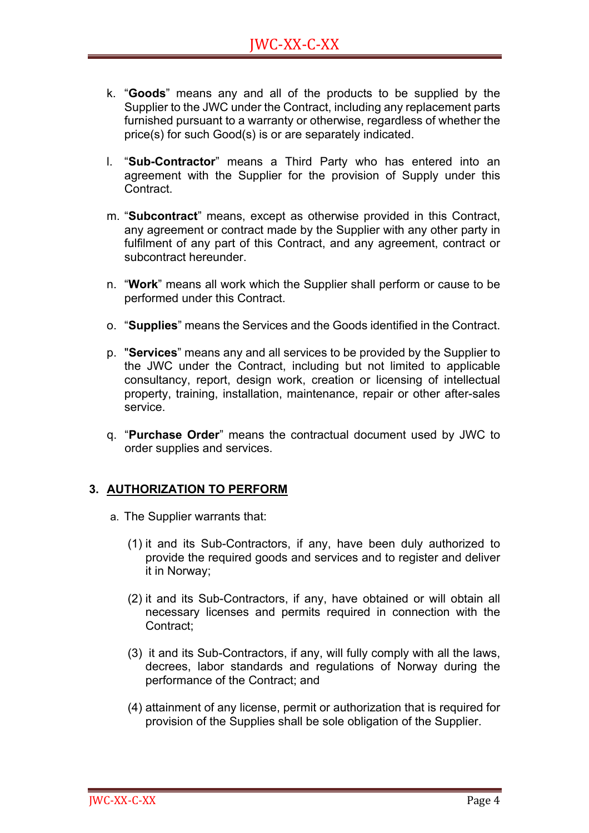- k. "**Goods**" means any and all of the products to be supplied by the Supplier to the JWC under the Contract, including any replacement parts furnished pursuant to a warranty or otherwise, regardless of whether the price(s) for such Good(s) is or are separately indicated.
- l. "**Sub-Contractor**" means a Third Party who has entered into an agreement with the Supplier for the provision of Supply under this Contract.
- m. "**Subcontract**" means, except as otherwise provided in this Contract, any agreement or contract made by the Supplier with any other party in fulfilment of any part of this Contract, and any agreement, contract or subcontract hereunder.
- n. "**Work**" means all work which the Supplier shall perform or cause to be performed under this Contract.
- o. "**Supplies**" means the Services and the Goods identified in the Contract.
- p. "**Services**" means any and all services to be provided by the Supplier to the JWC under the Contract, including but not limited to applicable consultancy, report, design work, creation or licensing of intellectual property, training, installation, maintenance, repair or other after-sales service.
- q. "**Purchase Order**" means the contractual document used by JWC to order supplies and services.

#### **3. AUTHORIZATION TO PERFORM**

- a. The Supplier warrants that:
	- (1) it and its Sub-Contractors, if any, have been duly authorized to provide the required goods and services and to register and deliver it in Norway;
	- (2) it and its Sub-Contractors, if any, have obtained or will obtain all necessary licenses and permits required in connection with the Contract;
	- (3) it and its Sub-Contractors, if any, will fully comply with all the laws, decrees, labor standards and regulations of Norway during the performance of the Contract; and
	- (4) attainment of any license, permit or authorization that is required for provision of the Supplies shall be sole obligation of the Supplier.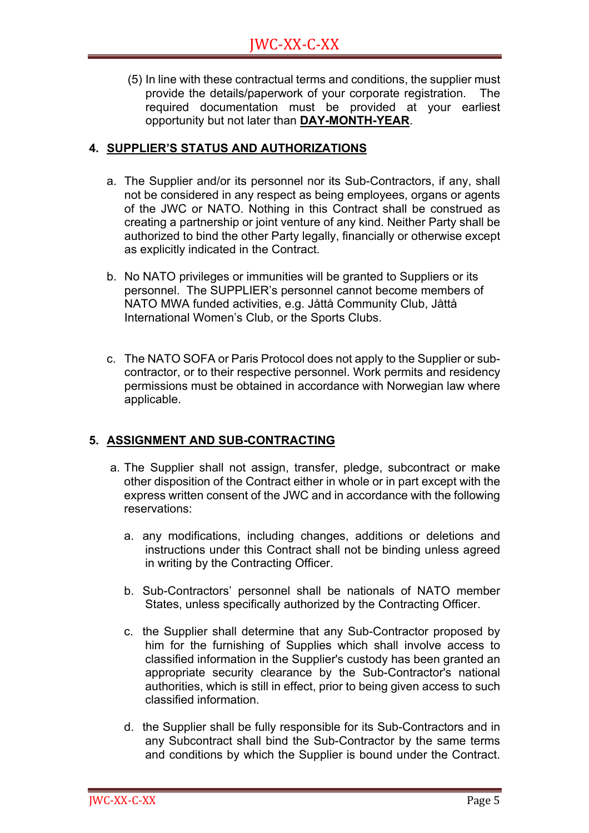(5) In line with these contractual terms and conditions, the supplier must provide the details/paperwork of your corporate registration. The required documentation must be provided at your earliest opportunity but not later than **DAY-MONTH-YEAR**.

#### **4. SUPPLIER'S STATUS AND AUTHORIZATIONS**

- a. The Supplier and/or its personnel nor its Sub-Contractors, if any, shall not be considered in any respect as being employees, organs or agents of the JWC or NATO. Nothing in this Contract shall be construed as creating a partnership or joint venture of any kind. Neither Party shall be authorized to bind the other Party legally, financially or otherwise except as explicitly indicated in the Contract.
- b. No NATO privileges or immunities will be granted to Suppliers or its personnel. The SUPPLIER's personnel cannot become members of NATO MWA funded activities, e.g. Jåttå Community Club, Jåttå International Women's Club, or the Sports Clubs.
- c. The NATO SOFA or Paris Protocol does not apply to the Supplier or subcontractor, or to their respective personnel. Work permits and residency permissions must be obtained in accordance with Norwegian law where applicable.

#### **5. ASSIGNMENT AND SUB-CONTRACTING**

- a. The Supplier shall not assign, transfer, pledge, subcontract or make other disposition of the Contract either in whole or in part except with the express written consent of the JWC and in accordance with the following reservations:
	- a. any modifications, including changes, additions or deletions and instructions under this Contract shall not be binding unless agreed in writing by the Contracting Officer.
	- b. Sub-Contractors' personnel shall be nationals of NATO member States, unless specifically authorized by the Contracting Officer.
	- c. the Supplier shall determine that any Sub-Contractor proposed by him for the furnishing of Supplies which shall involve access to classified information in the Supplier's custody has been granted an appropriate security clearance by the Sub-Contractor's national authorities, which is still in effect, prior to being given access to such classified information.
	- d. the Supplier shall be fully responsible for its Sub-Contractors and in any Subcontract shall bind the Sub-Contractor by the same terms and conditions by which the Supplier is bound under the Contract.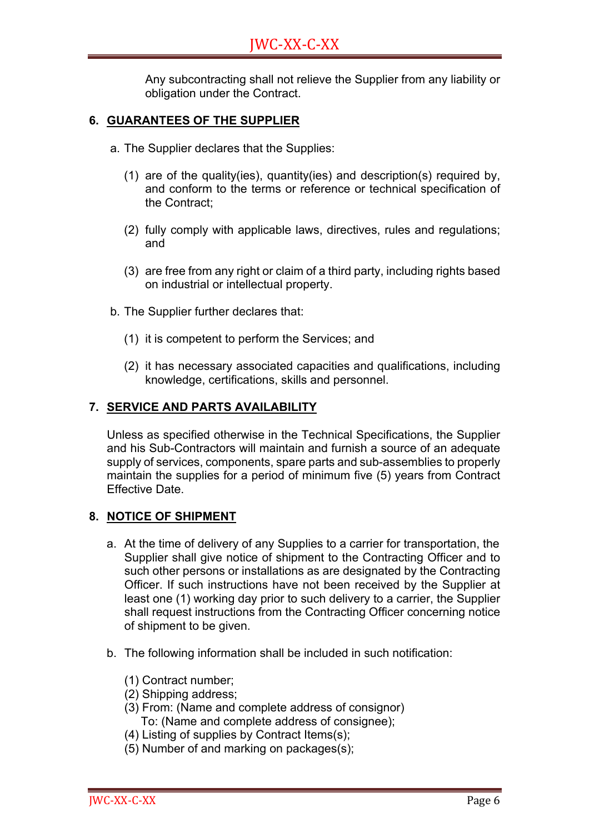Any subcontracting shall not relieve the Supplier from any liability or obligation under the Contract.

#### **6. GUARANTEES OF THE SUPPLIER**

- a. The Supplier declares that the Supplies:
	- (1) are of the quality(ies), quantity(ies) and description(s) required by, and conform to the terms or reference or technical specification of the Contract;
	- (2) fully comply with applicable laws, directives, rules and regulations; and
	- (3) are free from any right or claim of a third party, including rights based on industrial or intellectual property.
- b. The Supplier further declares that:
	- (1) it is competent to perform the Services; and
	- (2) it has necessary associated capacities and qualifications, including knowledge, certifications, skills and personnel.

#### **7. SERVICE AND PARTS AVAILABILITY**

Unless as specified otherwise in the Technical Specifications, the Supplier and his Sub-Contractors will maintain and furnish a source of an adequate supply of services, components, spare parts and sub-assemblies to properly maintain the supplies for a period of minimum five (5) years from Contract Effective Date.

#### **8. NOTICE OF SHIPMENT**

- a. At the time of delivery of any Supplies to a carrier for transportation, the Supplier shall give notice of shipment to the Contracting Officer and to such other persons or installations as are designated by the Contracting Officer. If such instructions have not been received by the Supplier at least one (1) working day prior to such delivery to a carrier, the Supplier shall request instructions from the Contracting Officer concerning notice of shipment to be given.
- b. The following information shall be included in such notification:
	- (1) Contract number;
	- (2) Shipping address;
	- (3) From: (Name and complete address of consignor) To: (Name and complete address of consignee);
	- (4) Listing of supplies by Contract Items(s);
	- (5) Number of and marking on packages(s);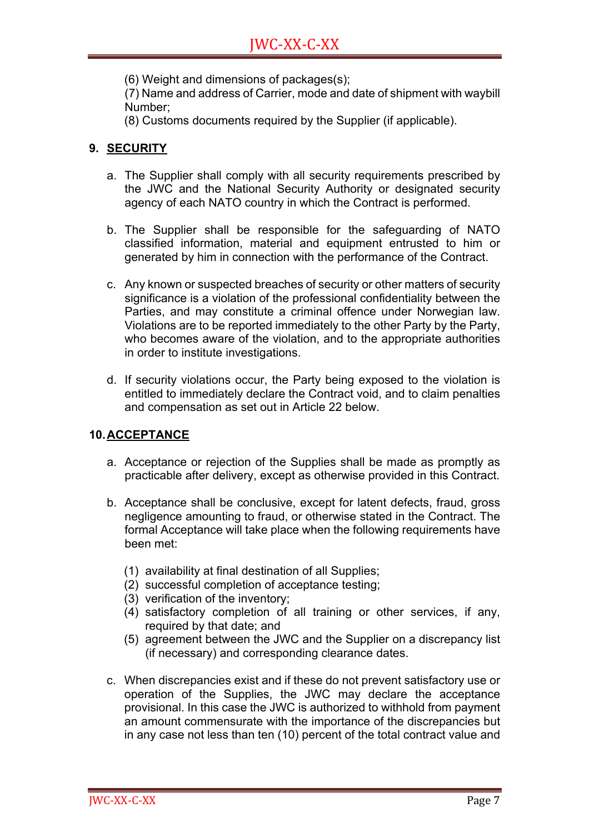(6) Weight and dimensions of packages(s);

(7) Name and address of Carrier, mode and date of shipment with waybill Number;

(8) Customs documents required by the Supplier (if applicable).

#### **9. SECURITY**

- a. The Supplier shall comply with all security requirements prescribed by the JWC and the National Security Authority or designated security agency of each NATO country in which the Contract is performed.
- b. The Supplier shall be responsible for the safeguarding of NATO classified information, material and equipment entrusted to him or generated by him in connection with the performance of the Contract.
- c. Any known or suspected breaches of security or other matters of security significance is a violation of the professional confidentiality between the Parties, and may constitute a criminal offence under Norwegian law. Violations are to be reported immediately to the other Party by the Party, who becomes aware of the violation, and to the appropriate authorities in order to institute investigations.
- d. If security violations occur, the Party being exposed to the violation is entitled to immediately declare the Contract void, and to claim penalties and compensation as set out in Article 22 below.

#### **10.ACCEPTANCE**

- a. Acceptance or rejection of the Supplies shall be made as promptly as practicable after delivery, except as otherwise provided in this Contract.
- b. Acceptance shall be conclusive, except for latent defects, fraud, gross negligence amounting to fraud, or otherwise stated in the Contract. The formal Acceptance will take place when the following requirements have been met:
	- (1) availability at final destination of all Supplies;
	- (2) successful completion of acceptance testing;
	- (3) verification of the inventory;
	- (4) satisfactory completion of all training or other services, if any, required by that date; and
	- (5) agreement between the JWC and the Supplier on a discrepancy list (if necessary) and corresponding clearance dates.
- c. When discrepancies exist and if these do not prevent satisfactory use or operation of the Supplies, the JWC may declare the acceptance provisional. In this case the JWC is authorized to withhold from payment an amount commensurate with the importance of the discrepancies but in any case not less than ten (10) percent of the total contract value and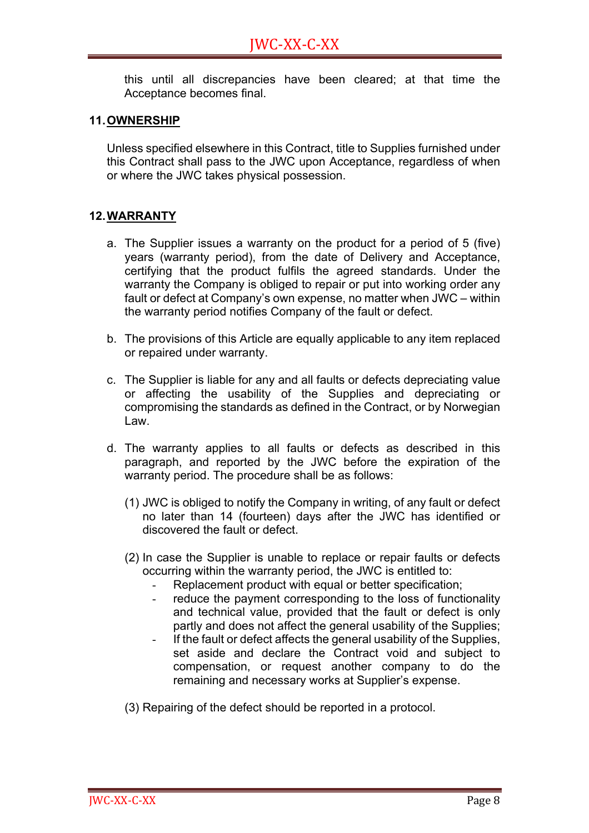this until all discrepancies have been cleared; at that time the Acceptance becomes final.

#### **11.OWNERSHIP**

Unless specified elsewhere in this Contract, title to Supplies furnished under this Contract shall pass to the JWC upon Acceptance, regardless of when or where the JWC takes physical possession.

#### **12.WARRANTY**

- a. The Supplier issues a warranty on the product for a period of 5 (five) years (warranty period), from the date of Delivery and Acceptance, certifying that the product fulfils the agreed standards. Under the warranty the Company is obliged to repair or put into working order any fault or defect at Company's own expense, no matter when JWC – within the warranty period notifies Company of the fault or defect.
- b. The provisions of this Article are equally applicable to any item replaced or repaired under warranty.
- c. The Supplier is liable for any and all faults or defects depreciating value or affecting the usability of the Supplies and depreciating or compromising the standards as defined in the Contract, or by Norwegian Law.
- d. The warranty applies to all faults or defects as described in this paragraph, and reported by the JWC before the expiration of the warranty period. The procedure shall be as follows:
	- (1) JWC is obliged to notify the Company in writing, of any fault or defect no later than 14 (fourteen) days after the JWC has identified or discovered the fault or defect.
	- (2) In case the Supplier is unable to replace or repair faults or defects occurring within the warranty period, the JWC is entitled to:
		- Replacement product with equal or better specification;
		- reduce the payment corresponding to the loss of functionality and technical value, provided that the fault or defect is only partly and does not affect the general usability of the Supplies;
		- If the fault or defect affects the general usability of the Supplies, set aside and declare the Contract void and subject to compensation, or request another company to do the remaining and necessary works at Supplier's expense.
	- (3) Repairing of the defect should be reported in a protocol.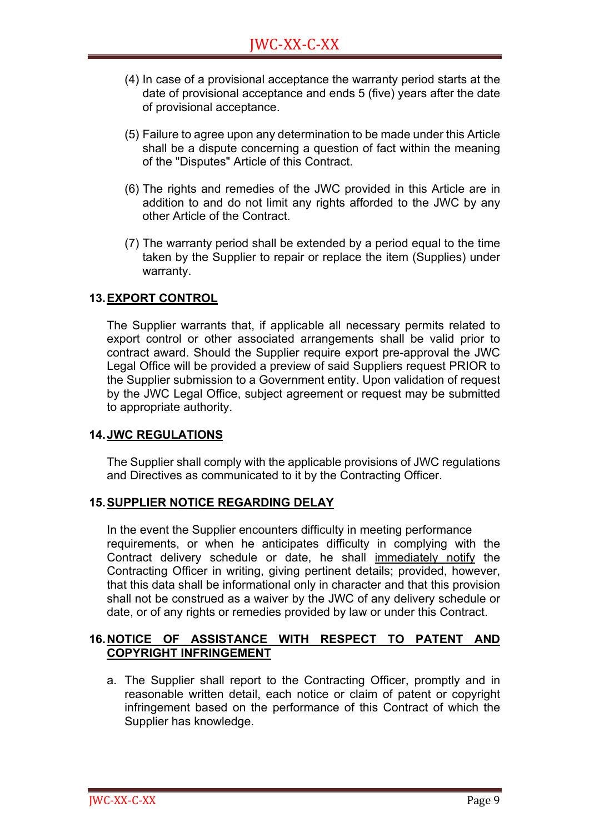- (4) In case of a provisional acceptance the warranty period starts at the date of provisional acceptance and ends 5 (five) years after the date of provisional acceptance.
- (5) Failure to agree upon any determination to be made under this Article shall be a dispute concerning a question of fact within the meaning of the "Disputes" Article of this Contract.
- (6) The rights and remedies of the JWC provided in this Article are in addition to and do not limit any rights afforded to the JWC by any other Article of the Contract.
- (7) The warranty period shall be extended by a period equal to the time taken by the Supplier to repair or replace the item (Supplies) under warranty.

#### **13.EXPORT CONTROL**

The Supplier warrants that, if applicable all necessary permits related to export control or other associated arrangements shall be valid prior to contract award. Should the Supplier require export pre-approval the JWC Legal Office will be provided a preview of said Suppliers request PRIOR to the Supplier submission to a Government entity. Upon validation of request by the JWC Legal Office, subject agreement or request may be submitted to appropriate authority.

#### **14.JWC REGULATIONS**

The Supplier shall comply with the applicable provisions of JWC regulations and Directives as communicated to it by the Contracting Officer.

#### **15.SUPPLIER NOTICE REGARDING DELAY**

In the event the Supplier encounters difficulty in meeting performance requirements, or when he anticipates difficulty in complying with the Contract delivery schedule or date, he shall immediately notify the Contracting Officer in writing, giving pertinent details; provided, however, that this data shall be informational only in character and that this provision shall not be construed as a waiver by the JWC of any delivery schedule or date, or of any rights or remedies provided by law or under this Contract.

#### **16.NOTICE OF ASSISTANCE WITH RESPECT TO PATENT AND COPYRIGHT INFRINGEMENT**

a. The Supplier shall report to the Contracting Officer, promptly and in reasonable written detail, each notice or claim of patent or copyright infringement based on the performance of this Contract of which the Supplier has knowledge.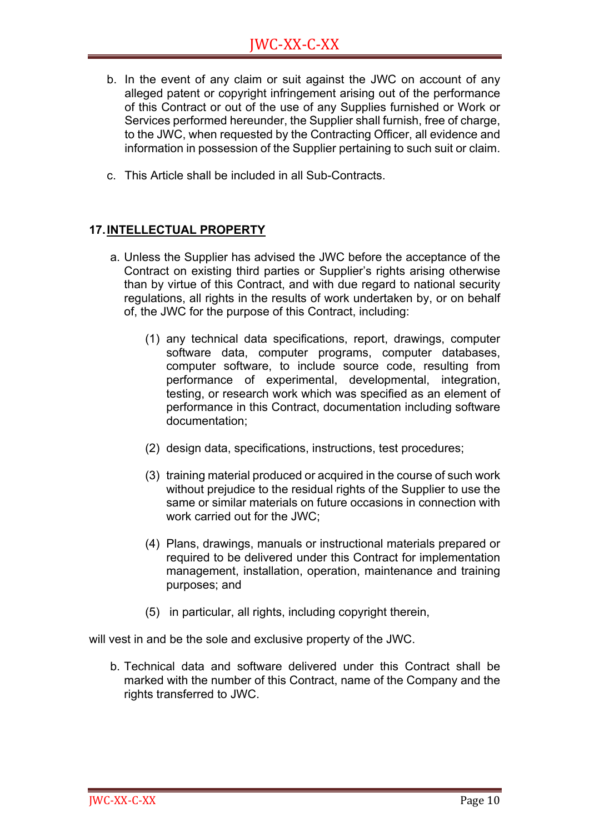- b. In the event of any claim or suit against the JWC on account of any alleged patent or copyright infringement arising out of the performance of this Contract or out of the use of any Supplies furnished or Work or Services performed hereunder, the Supplier shall furnish, free of charge, to the JWC, when requested by the Contracting Officer, all evidence and information in possession of the Supplier pertaining to such suit or claim.
- c. This Article shall be included in all Sub-Contracts.

#### **17.INTELLECTUAL PROPERTY**

- a. Unless the Supplier has advised the JWC before the acceptance of the Contract on existing third parties or Supplier's rights arising otherwise than by virtue of this Contract, and with due regard to national security regulations, all rights in the results of work undertaken by, or on behalf of, the JWC for the purpose of this Contract, including:
	- (1) any technical data specifications, report, drawings, computer software data, computer programs, computer databases, computer software, to include source code, resulting from performance of experimental, developmental, integration, testing, or research work which was specified as an element of performance in this Contract, documentation including software documentation;
	- (2) design data, specifications, instructions, test procedures;
	- (3) training material produced or acquired in the course of such work without prejudice to the residual rights of the Supplier to use the same or similar materials on future occasions in connection with work carried out for the JWC;
	- (4) Plans, drawings, manuals or instructional materials prepared or required to be delivered under this Contract for implementation management, installation, operation, maintenance and training purposes; and
	- (5) in particular, all rights, including copyright therein,

will vest in and be the sole and exclusive property of the JWC.

b. Technical data and software delivered under this Contract shall be marked with the number of this Contract, name of the Company and the rights transferred to JWC.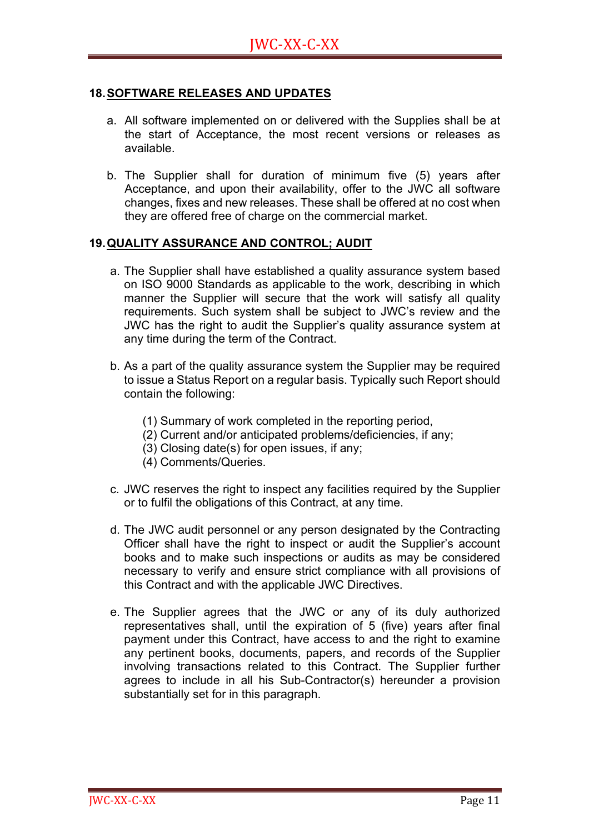#### **18.SOFTWARE RELEASES AND UPDATES**

- a. All software implemented on or delivered with the Supplies shall be at the start of Acceptance, the most recent versions or releases as available.
- b. The Supplier shall for duration of minimum five (5) years after Acceptance, and upon their availability, offer to the JWC all software changes, fixes and new releases. These shall be offered at no cost when they are offered free of charge on the commercial market.

#### **19.QUALITY ASSURANCE AND CONTROL; AUDIT**

- a. The Supplier shall have established a quality assurance system based on ISO 9000 Standards as applicable to the work, describing in which manner the Supplier will secure that the work will satisfy all quality requirements. Such system shall be subject to JWC's review and the JWC has the right to audit the Supplier's quality assurance system at any time during the term of the Contract.
- b. As a part of the quality assurance system the Supplier may be required to issue a Status Report on a regular basis. Typically such Report should contain the following:
	- (1) Summary of work completed in the reporting period,
	- (2) Current and/or anticipated problems/deficiencies, if any;
	- (3) Closing date(s) for open issues, if any;
	- (4) Comments/Queries.
- c. JWC reserves the right to inspect any facilities required by the Supplier or to fulfil the obligations of this Contract, at any time.
- d. The JWC audit personnel or any person designated by the Contracting Officer shall have the right to inspect or audit the Supplier's account books and to make such inspections or audits as may be considered necessary to verify and ensure strict compliance with all provisions of this Contract and with the applicable JWC Directives.
- e. The Supplier agrees that the JWC or any of its duly authorized representatives shall, until the expiration of 5 (five) years after final payment under this Contract, have access to and the right to examine any pertinent books, documents, papers, and records of the Supplier involving transactions related to this Contract. The Supplier further agrees to include in all his Sub-Contractor(s) hereunder a provision substantially set for in this paragraph.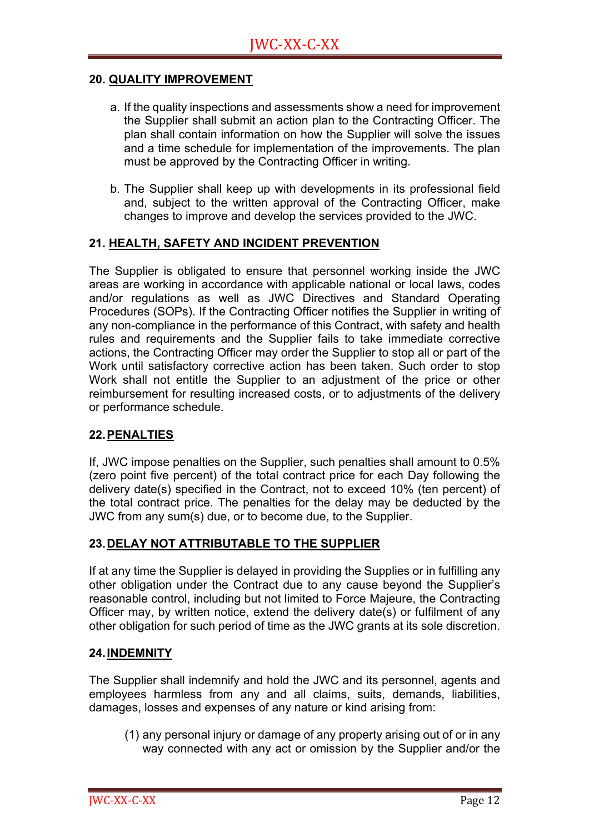#### **20. QUALITY IMPROVEMENT**

- a. If the quality inspections and assessments show a need for improvement the Supplier shall submit an action plan to the Contracting Officer. The plan shall contain information on how the Supplier will solve the issues and a time schedule for implementation of the improvements. The plan must be approved by the Contracting Officer in writing.
- b. The Supplier shall keep up with developments in its professional field and, subject to the written approval of the Contracting Officer, make changes to improve and develop the services provided to the JWC.

#### **21. HEALTH, SAFETY AND INCIDENT PREVENTION**

The Supplier is obligated to ensure that personnel working inside the JWC areas are working in accordance with applicable national or local laws, codes and/or regulations as well as JWC Directives and Standard Operating Procedures (SOPs). If the Contracting Officer notifies the Supplier in writing of any non-compliance in the performance of this Contract, with safety and health rules and requirements and the Supplier fails to take immediate corrective actions, the Contracting Officer may order the Supplier to stop all or part of the Work until satisfactory corrective action has been taken. Such order to stop Work shall not entitle the Supplier to an adjustment of the price or other reimbursement for resulting increased costs, or to adjustments of the delivery or performance schedule.

#### **22.PENALTIES**

If, JWC impose penalties on the Supplier, such penalties shall amount to 0.5% (zero point five percent) of the total contract price for each Day following the delivery date(s) specified in the Contract, not to exceed 10% (ten percent) of the total contract price. The penalties for the delay may be deducted by the JWC from any sum(s) due, or to become due, to the Supplier.

#### **23.DELAY NOT ATTRIBUTABLE TO THE SUPPLIER**

If at any time the Supplier is delayed in providing the Supplies or in fulfilling any other obligation under the Contract due to any cause beyond the Supplier's reasonable control, including but not limited to Force Majeure, the Contracting Officer may, by written notice, extend the delivery date(s) or fulfilment of any other obligation for such period of time as the JWC grants at its sole discretion.

#### **24.INDEMNITY**

The Supplier shall indemnify and hold the JWC and its personnel, agents and employees harmless from any and all claims, suits, demands, liabilities, damages, losses and expenses of any nature or kind arising from:

(1) any personal injury or damage of any property arising out of or in any way connected with any act or omission by the Supplier and/or the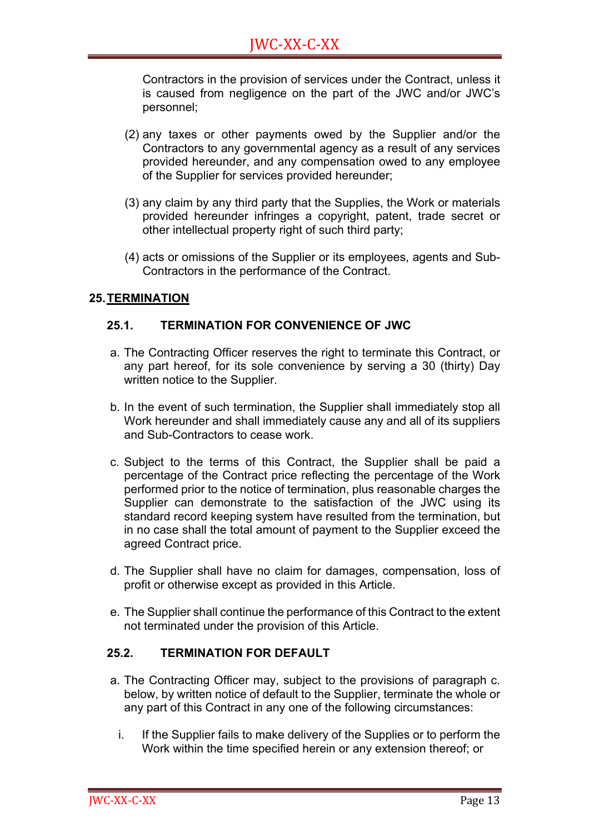Contractors in the provision of services under the Contract, unless it is caused from negligence on the part of the JWC and/or JWC's personnel;

- (2) any taxes or other payments owed by the Supplier and/or the Contractors to any governmental agency as a result of any services provided hereunder, and any compensation owed to any employee of the Supplier for services provided hereunder;
- (3) any claim by any third party that the Supplies, the Work or materials provided hereunder infringes a copyright, patent, trade secret or other intellectual property right of such third party;
- (4) acts or omissions of the Supplier or its employees, agents and Sub-Contractors in the performance of the Contract.

#### **25.TERMINATION**

#### **25.1. TERMINATION FOR CONVENIENCE OF JWC**

- a. The Contracting Officer reserves the right to terminate this Contract, or any part hereof, for its sole convenience by serving a 30 (thirty) Day written notice to the Supplier.
- b. In the event of such termination, the Supplier shall immediately stop all Work hereunder and shall immediately cause any and all of its suppliers and Sub-Contractors to cease work.
- c. Subject to the terms of this Contract, the Supplier shall be paid a percentage of the Contract price reflecting the percentage of the Work performed prior to the notice of termination, plus reasonable charges the Supplier can demonstrate to the satisfaction of the JWC using its standard record keeping system have resulted from the termination, but in no case shall the total amount of payment to the Supplier exceed the agreed Contract price.
- d. The Supplier shall have no claim for damages, compensation, loss of profit or otherwise except as provided in this Article.
- e. The Supplier shall continue the performance of this Contract to the extent not terminated under the provision of this Article.

#### **25.2. TERMINATION FOR DEFAULT**

- a. The Contracting Officer may, subject to the provisions of paragraph c. below, by written notice of default to the Supplier, terminate the whole or any part of this Contract in any one of the following circumstances:
	- i. If the Supplier fails to make delivery of the Supplies or to perform the Work within the time specified herein or any extension thereof; or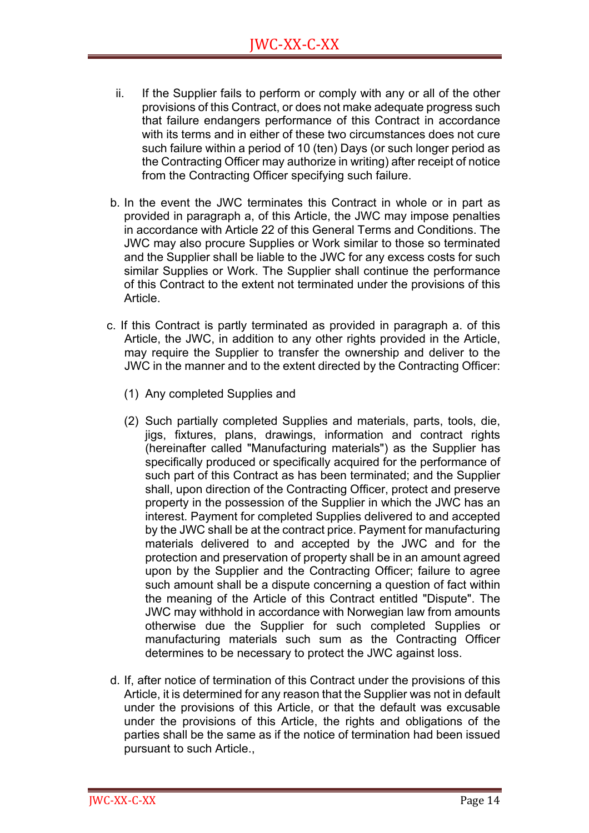- ii. If the Supplier fails to perform or comply with any or all of the other provisions of this Contract, or does not make adequate progress such that failure endangers performance of this Contract in accordance with its terms and in either of these two circumstances does not cure such failure within a period of 10 (ten) Days (or such longer period as the Contracting Officer may authorize in writing) after receipt of notice from the Contracting Officer specifying such failure.
- b. In the event the JWC terminates this Contract in whole or in part as provided in paragraph a, of this Article, the JWC may impose penalties in accordance with Article 22 of this General Terms and Conditions. The JWC may also procure Supplies or Work similar to those so terminated and the Supplier shall be liable to the JWC for any excess costs for such similar Supplies or Work. The Supplier shall continue the performance of this Contract to the extent not terminated under the provisions of this Article.
- c. If this Contract is partly terminated as provided in paragraph a. of this Article, the JWC, in addition to any other rights provided in the Article, may require the Supplier to transfer the ownership and deliver to the JWC in the manner and to the extent directed by the Contracting Officer:
	- (1) Any completed Supplies and
	- (2) Such partially completed Supplies and materials, parts, tools, die, jigs, fixtures, plans, drawings, information and contract rights (hereinafter called "Manufacturing materials") as the Supplier has specifically produced or specifically acquired for the performance of such part of this Contract as has been terminated; and the Supplier shall, upon direction of the Contracting Officer, protect and preserve property in the possession of the Supplier in which the JWC has an interest. Payment for completed Supplies delivered to and accepted by the JWC shall be at the contract price. Payment for manufacturing materials delivered to and accepted by the JWC and for the protection and preservation of property shall be in an amount agreed upon by the Supplier and the Contracting Officer; failure to agree such amount shall be a dispute concerning a question of fact within the meaning of the Article of this Contract entitled "Dispute". The JWC may withhold in accordance with Norwegian law from amounts otherwise due the Supplier for such completed Supplies or manufacturing materials such sum as the Contracting Officer determines to be necessary to protect the JWC against loss.
- d. If, after notice of termination of this Contract under the provisions of this Article, it is determined for any reason that the Supplier was not in default under the provisions of this Article, or that the default was excusable under the provisions of this Article, the rights and obligations of the parties shall be the same as if the notice of termination had been issued pursuant to such Article.,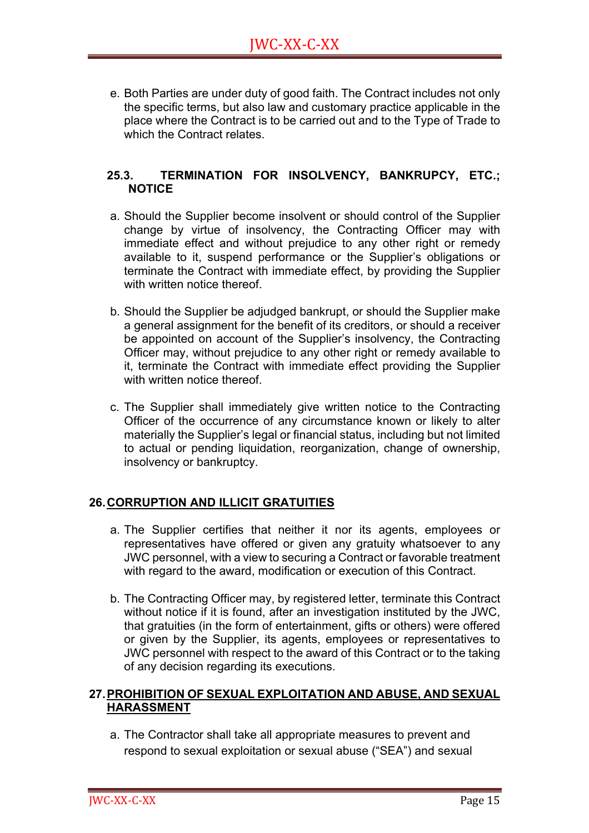e. Both Parties are under duty of good faith. The Contract includes not only the specific terms, but also law and customary practice applicable in the place where the Contract is to be carried out and to the Type of Trade to which the Contract relates.

#### **25.3. TERMINATION FOR INSOLVENCY, BANKRUPCY, ETC.; NOTICE**

- a. Should the Supplier become insolvent or should control of the Supplier change by virtue of insolvency, the Contracting Officer may with immediate effect and without prejudice to any other right or remedy available to it, suspend performance or the Supplier's obligations or terminate the Contract with immediate effect, by providing the Supplier with written notice thereof.
- b. Should the Supplier be adjudged bankrupt, or should the Supplier make a general assignment for the benefit of its creditors, or should a receiver be appointed on account of the Supplier's insolvency, the Contracting Officer may, without prejudice to any other right or remedy available to it, terminate the Contract with immediate effect providing the Supplier with written notice thereof.
- c. The Supplier shall immediately give written notice to the Contracting Officer of the occurrence of any circumstance known or likely to alter materially the Supplier's legal or financial status, including but not limited to actual or pending liquidation, reorganization, change of ownership, insolvency or bankruptcy.

#### **26.CORRUPTION AND ILLICIT GRATUITIES**

- a. The Supplier certifies that neither it nor its agents, employees or representatives have offered or given any gratuity whatsoever to any JWC personnel, with a view to securing a Contract or favorable treatment with regard to the award, modification or execution of this Contract.
- b. The Contracting Officer may, by registered letter, terminate this Contract without notice if it is found, after an investigation instituted by the JWC, that gratuities (in the form of entertainment, gifts or others) were offered or given by the Supplier, its agents, employees or representatives to JWC personnel with respect to the award of this Contract or to the taking of any decision regarding its executions.

#### **27.PROHIBITION OF SEXUAL EXPLOITATION AND ABUSE, AND SEXUAL HARASSMENT**

a. The Contractor shall take all appropriate measures to prevent and respond to sexual exploitation or sexual abuse ("SEA") and sexual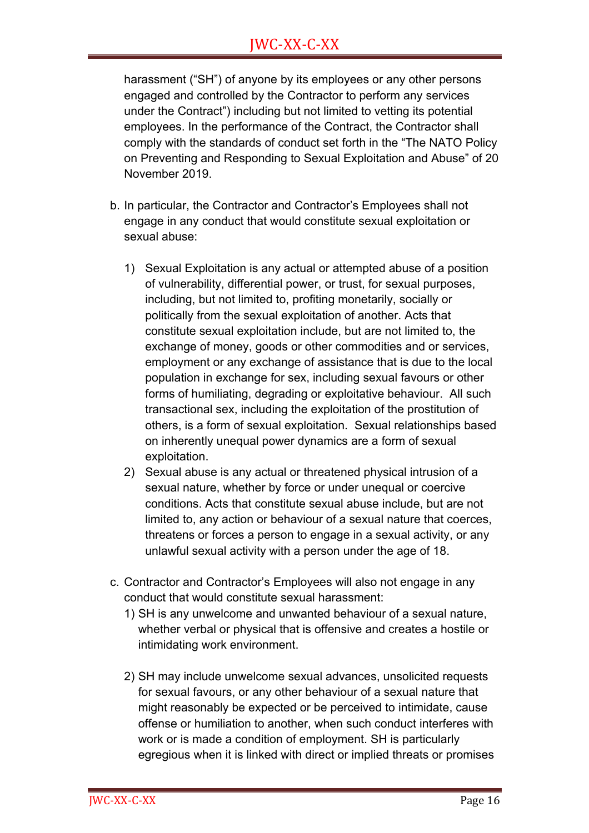harassment ("SH") of anyone by its employees or any other persons engaged and controlled by the Contractor to perform any services under the Contract") including but not limited to vetting its potential employees. In the performance of the Contract, the Contractor shall comply with the standards of conduct set forth in the "The NATO Policy on Preventing and Responding to Sexual Exploitation and Abuse" of 20 November 2019.

- b. In particular, the Contractor and Contractor's Employees shall not engage in any conduct that would constitute sexual exploitation or sexual abuse:
	- 1) Sexual Exploitation is any actual or attempted abuse of a position of vulnerability, differential power, or trust, for sexual purposes, including, but not limited to, profiting monetarily, socially or politically from the sexual exploitation of another. Acts that constitute sexual exploitation include, but are not limited to, the exchange of money, goods or other commodities and or services, employment or any exchange of assistance that is due to the local population in exchange for sex, including sexual favours or other forms of humiliating, degrading or exploitative behaviour. All such transactional sex, including the exploitation of the prostitution of others, is a form of sexual exploitation. Sexual relationships based on inherently unequal power dynamics are a form of sexual exploitation.
	- 2) Sexual abuse is any actual or threatened physical intrusion of a sexual nature, whether by force or under unequal or coercive conditions. Acts that constitute sexual abuse include, but are not limited to, any action or behaviour of a sexual nature that coerces, threatens or forces a person to engage in a sexual activity, or any unlawful sexual activity with a person under the age of 18.
- c. Contractor and Contractor's Employees will also not engage in any conduct that would constitute sexual harassment:
	- 1) SH is any unwelcome and unwanted behaviour of a sexual nature, whether verbal or physical that is offensive and creates a hostile or intimidating work environment.
	- 2) SH may include unwelcome sexual advances, unsolicited requests for sexual favours, or any other behaviour of a sexual nature that might reasonably be expected or be perceived to intimidate, cause offense or humiliation to another, when such conduct interferes with work or is made a condition of employment. SH is particularly egregious when it is linked with direct or implied threats or promises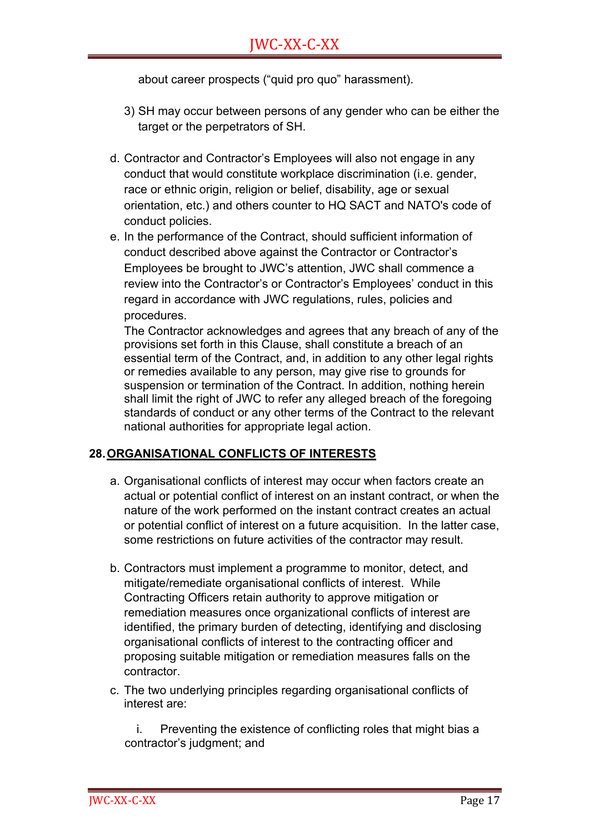about career prospects ("quid pro quo" harassment).

- 3) SH may occur between persons of any gender who can be either the target or the perpetrators of SH.
- d. Contractor and Contractor's Employees will also not engage in any conduct that would constitute workplace discrimination (i.e. gender, race or ethnic origin, religion or belief, disability, age or sexual orientation, etc.) and others counter to HQ SACT and NATO's code of conduct policies.
- e. In the performance of the Contract, should sufficient information of conduct described above against the Contractor or Contractor's Employees be brought to JWC's attention, JWC shall commence a review into the Contractor's or Contractor's Employees' conduct in this regard in accordance with JWC regulations, rules, policies and procedures.

The Contractor acknowledges and agrees that any breach of any of the provisions set forth in this Clause, shall constitute a breach of an essential term of the Contract, and, in addition to any other legal rights or remedies available to any person, may give rise to grounds for suspension or termination of the Contract. In addition, nothing herein shall limit the right of JWC to refer any alleged breach of the foregoing standards of conduct or any other terms of the Contract to the relevant national authorities for appropriate legal action.

#### **28.ORGANISATIONAL CONFLICTS OF INTERESTS**

- a. Organisational conflicts of interest may occur when factors create an actual or potential conflict of interest on an instant contract, or when the nature of the work performed on the instant contract creates an actual or potential conflict of interest on a future acquisition. In the latter case, some restrictions on future activities of the contractor may result.
- b. Contractors must implement a programme to monitor, detect, and mitigate/remediate organisational conflicts of interest. While Contracting Officers retain authority to approve mitigation or remediation measures once organizational conflicts of interest are identified, the primary burden of detecting, identifying and disclosing organisational conflicts of interest to the contracting officer and proposing suitable mitigation or remediation measures falls on the contractor.
- c. The two underlying principles regarding organisational conflicts of interest are:

i. Preventing the existence of conflicting roles that might bias a contractor's judgment; and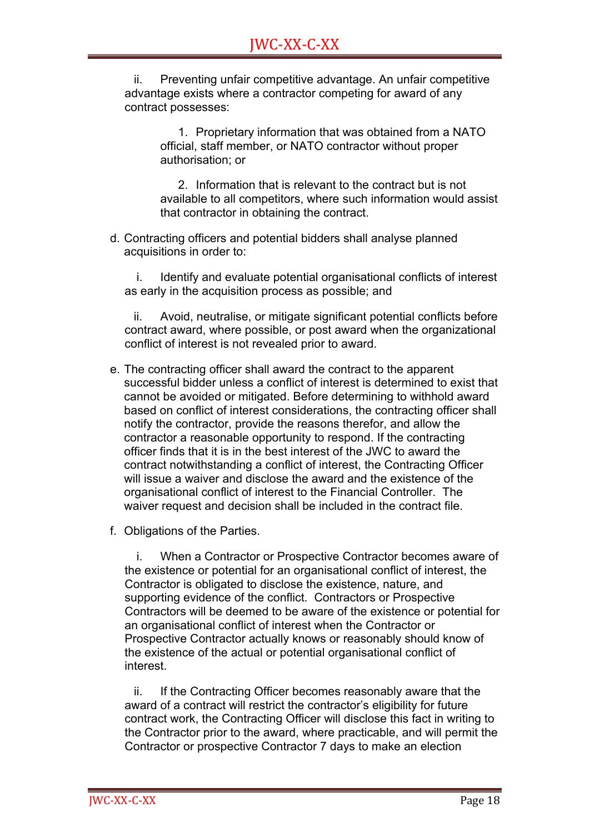ii. Preventing unfair competitive advantage. An unfair competitive advantage exists where a contractor competing for award of any contract possesses:

> 1. Proprietary information that was obtained from a NATO official, staff member, or NATO contractor without proper authorisation; or

2. Information that is relevant to the contract but is not available to all competitors, where such information would assist that contractor in obtaining the contract.

d. Contracting officers and potential bidders shall analyse planned acquisitions in order to:

i. Identify and evaluate potential organisational conflicts of interest as early in the acquisition process as possible; and

ii. Avoid, neutralise, or mitigate significant potential conflicts before contract award, where possible, or post award when the organizational conflict of interest is not revealed prior to award.

- e. The contracting officer shall award the contract to the apparent successful bidder unless a conflict of interest is determined to exist that cannot be avoided or mitigated. Before determining to withhold award based on conflict of interest considerations, the contracting officer shall notify the contractor, provide the reasons therefor, and allow the contractor a reasonable opportunity to respond. If the contracting officer finds that it is in the best interest of the JWC to award the contract notwithstanding a conflict of interest, the Contracting Officer will issue a waiver and disclose the award and the existence of the organisational conflict of interest to the Financial Controller. The waiver request and decision shall be included in the contract file.
- f. Obligations of the Parties.

i. When a Contractor or Prospective Contractor becomes aware of the existence or potential for an organisational conflict of interest, the Contractor is obligated to disclose the existence, nature, and supporting evidence of the conflict. Contractors or Prospective Contractors will be deemed to be aware of the existence or potential for an organisational conflict of interest when the Contractor or Prospective Contractor actually knows or reasonably should know of the existence of the actual or potential organisational conflict of interest.

ii. If the Contracting Officer becomes reasonably aware that the award of a contract will restrict the contractor's eligibility for future contract work, the Contracting Officer will disclose this fact in writing to the Contractor prior to the award, where practicable, and will permit the Contractor or prospective Contractor 7 days to make an election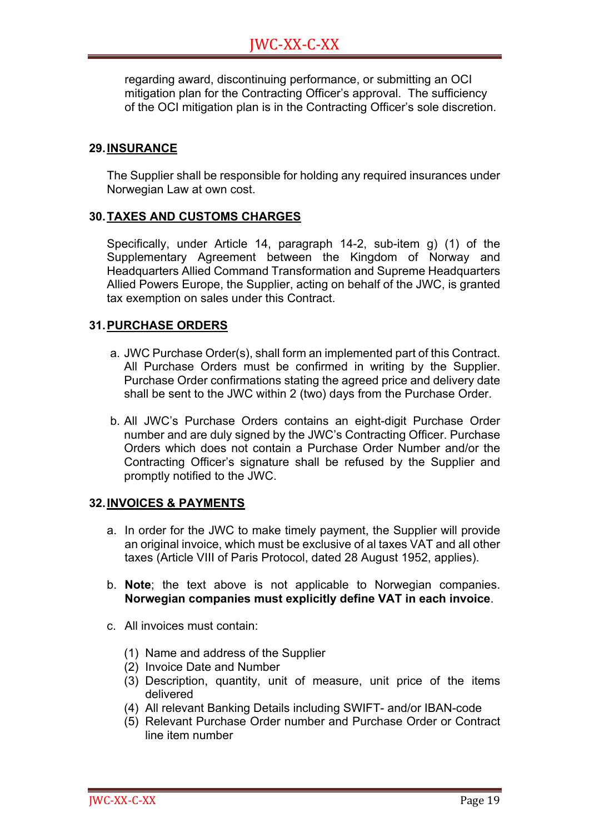regarding award, discontinuing performance, or submitting an OCI mitigation plan for the Contracting Officer's approval. The sufficiency of the OCI mitigation plan is in the Contracting Officer's sole discretion.

#### **29.INSURANCE**

The Supplier shall be responsible for holding any required insurances under Norwegian Law at own cost.

#### **30.TAXES AND CUSTOMS CHARGES**

Specifically, under Article 14, paragraph 14-2, sub-item g) (1) of the Supplementary Agreement between the Kingdom of Norway and Headquarters Allied Command Transformation and Supreme Headquarters Allied Powers Europe, the Supplier, acting on behalf of the JWC, is granted tax exemption on sales under this Contract.

#### **31.PURCHASE ORDERS**

- a. JWC Purchase Order(s), shall form an implemented part of this Contract. All Purchase Orders must be confirmed in writing by the Supplier. Purchase Order confirmations stating the agreed price and delivery date shall be sent to the JWC within 2 (two) days from the Purchase Order.
- b. All JWC's Purchase Orders contains an eight-digit Purchase Order number and are duly signed by the JWC's Contracting Officer. Purchase Orders which does not contain a Purchase Order Number and/or the Contracting Officer's signature shall be refused by the Supplier and promptly notified to the JWC.

#### **32.INVOICES & PAYMENTS**

- a. In order for the JWC to make timely payment, the Supplier will provide an original invoice, which must be exclusive of al taxes VAT and all other taxes (Article VIII of Paris Protocol, dated 28 August 1952, applies).
- b. **Note**; the text above is not applicable to Norwegian companies. **Norwegian companies must explicitly define VAT in each invoice**.
- c. All invoices must contain:
	- (1) Name and address of the Supplier
	- (2) Invoice Date and Number
	- (3) Description, quantity, unit of measure, unit price of the items delivered
	- (4) All relevant Banking Details including SWIFT- and/or IBAN-code
	- (5) Relevant Purchase Order number and Purchase Order or Contract line item number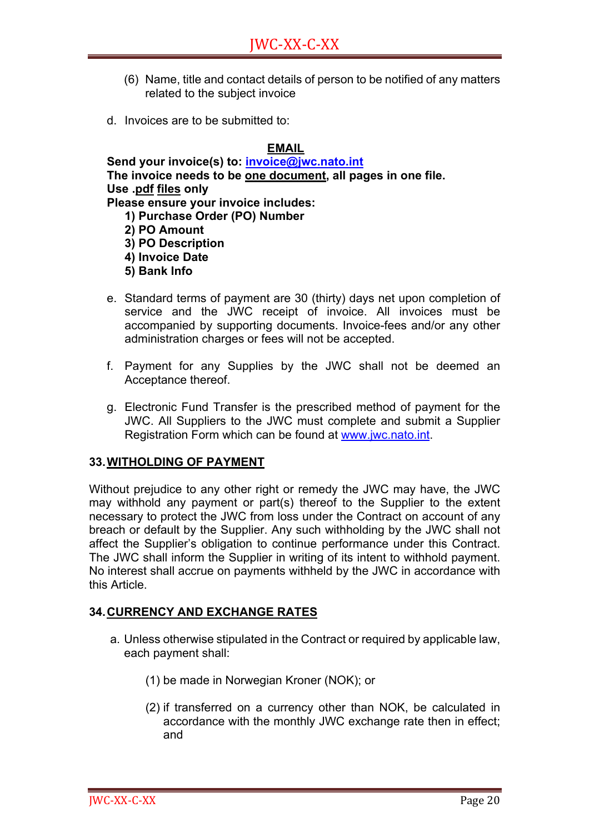- (6) Name, title and contact details of person to be notified of any matters related to the subject invoice
- d. Invoices are to be submitted to:

#### **EMAIL**

**Send your invoice(s) to: invoice@jwc.nato.int The invoice needs to be one document, all pages in one file. Use .pdf files only Please ensure your invoice includes:** 

**1) Purchase Order (PO) Number**

 **2) PO Amount**

**3) PO Description** 

- **4) Invoice Date**
- **5) Bank Info**
- e. Standard terms of payment are 30 (thirty) days net upon completion of service and the JWC receipt of invoice. All invoices must be accompanied by supporting documents. Invoice-fees and/or any other administration charges or fees will not be accepted.
- f. Payment for any Supplies by the JWC shall not be deemed an Acceptance thereof.
- g. Electronic Fund Transfer is the prescribed method of payment for the JWC. All Suppliers to the JWC must complete and submit a Supplier Registration Form which can be found at www.jwc.nato.int.

#### **33.WITHOLDING OF PAYMENT**

Without prejudice to any other right or remedy the JWC may have, the JWC may withhold any payment or part(s) thereof to the Supplier to the extent necessary to protect the JWC from loss under the Contract on account of any breach or default by the Supplier. Any such withholding by the JWC shall not affect the Supplier's obligation to continue performance under this Contract. The JWC shall inform the Supplier in writing of its intent to withhold payment. No interest shall accrue on payments withheld by the JWC in accordance with this Article.

#### **34.CURRENCY AND EXCHANGE RATES**

- a. Unless otherwise stipulated in the Contract or required by applicable law, each payment shall:
	- (1) be made in Norwegian Kroner (NOK); or
	- (2) if transferred on a currency other than NOK, be calculated in accordance with the monthly JWC exchange rate then in effect; and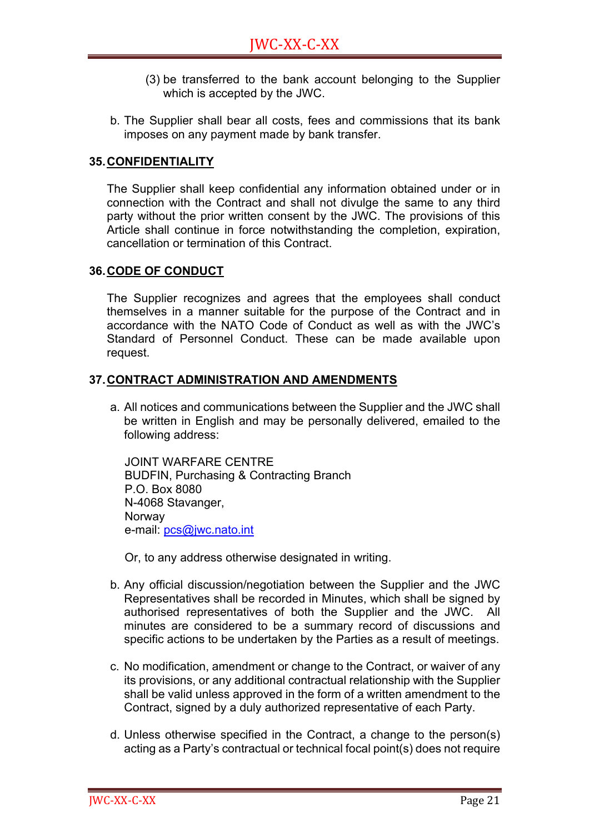- (3) be transferred to the bank account belonging to the Supplier which is accepted by the JWC.
- b. The Supplier shall bear all costs, fees and commissions that its bank imposes on any payment made by bank transfer.

#### **35.CONFIDENTIALITY**

The Supplier shall keep confidential any information obtained under or in connection with the Contract and shall not divulge the same to any third party without the prior written consent by the JWC. The provisions of this Article shall continue in force notwithstanding the completion, expiration, cancellation or termination of this Contract.

#### **36.CODE OF CONDUCT**

The Supplier recognizes and agrees that the employees shall conduct themselves in a manner suitable for the purpose of the Contract and in accordance with the NATO Code of Conduct as well as with the JWC's Standard of Personnel Conduct. These can be made available upon request.

#### **37.CONTRACT ADMINISTRATION AND AMENDMENTS**

a. All notices and communications between the Supplier and the JWC shall be written in English and may be personally delivered, emailed to the following address:

JOINT WARFARE CENTRE BUDFIN, Purchasing & Contracting Branch P.O. Box 8080 N-4068 Stavanger, Norway e-mail: pcs@jwc.nato.int

Or, to any address otherwise designated in writing.

- b. Any official discussion/negotiation between the Supplier and the JWC Representatives shall be recorded in Minutes, which shall be signed by authorised representatives of both the Supplier and the JWC. All minutes are considered to be a summary record of discussions and specific actions to be undertaken by the Parties as a result of meetings.
- c. No modification, amendment or change to the Contract, or waiver of any its provisions, or any additional contractual relationship with the Supplier shall be valid unless approved in the form of a written amendment to the Contract, signed by a duly authorized representative of each Party.
- d. Unless otherwise specified in the Contract, a change to the person(s) acting as a Party's contractual or technical focal point(s) does not require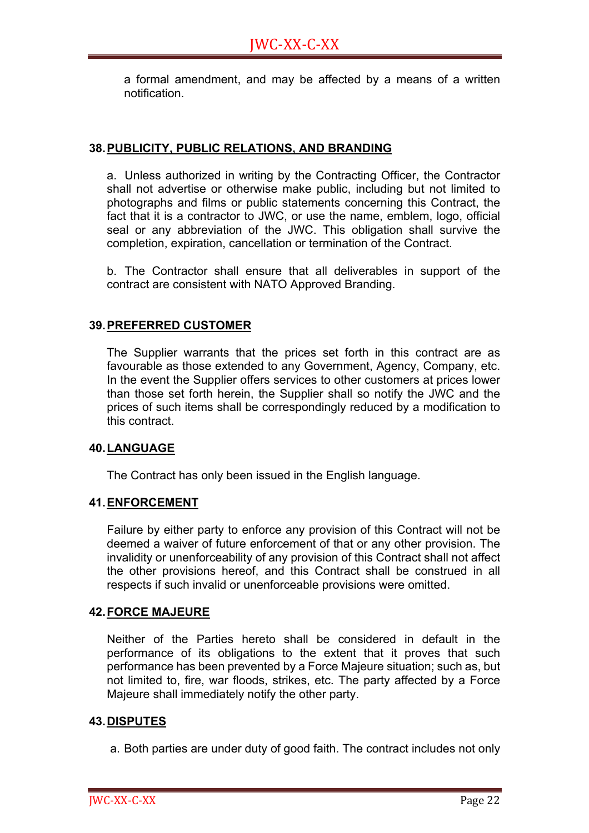a formal amendment, and may be affected by a means of a written notification.

#### **38.PUBLICITY, PUBLIC RELATIONS, AND BRANDING**

a. Unless authorized in writing by the Contracting Officer, the Contractor shall not advertise or otherwise make public, including but not limited to photographs and films or public statements concerning this Contract, the fact that it is a contractor to JWC, or use the name, emblem, logo, official seal or any abbreviation of the JWC. This obligation shall survive the completion, expiration, cancellation or termination of the Contract.

b. The Contractor shall ensure that all deliverables in support of the contract are consistent with NATO Approved Branding.

#### **39.PREFERRED CUSTOMER**

The Supplier warrants that the prices set forth in this contract are as favourable as those extended to any Government, Agency, Company, etc. In the event the Supplier offers services to other customers at prices lower than those set forth herein, the Supplier shall so notify the JWC and the prices of such items shall be correspondingly reduced by a modification to this contract.

#### **40.LANGUAGE**

The Contract has only been issued in the English language.

#### **41.ENFORCEMENT**

Failure by either party to enforce any provision of this Contract will not be deemed a waiver of future enforcement of that or any other provision. The invalidity or unenforceability of any provision of this Contract shall not affect the other provisions hereof, and this Contract shall be construed in all respects if such invalid or unenforceable provisions were omitted.

#### **42.FORCE MAJEURE**

Neither of the Parties hereto shall be considered in default in the performance of its obligations to the extent that it proves that such performance has been prevented by a Force Majeure situation; such as, but not limited to, fire, war floods, strikes, etc. The party affected by a Force Majeure shall immediately notify the other party.

#### **43.DISPUTES**

a. Both parties are under duty of good faith. The contract includes not only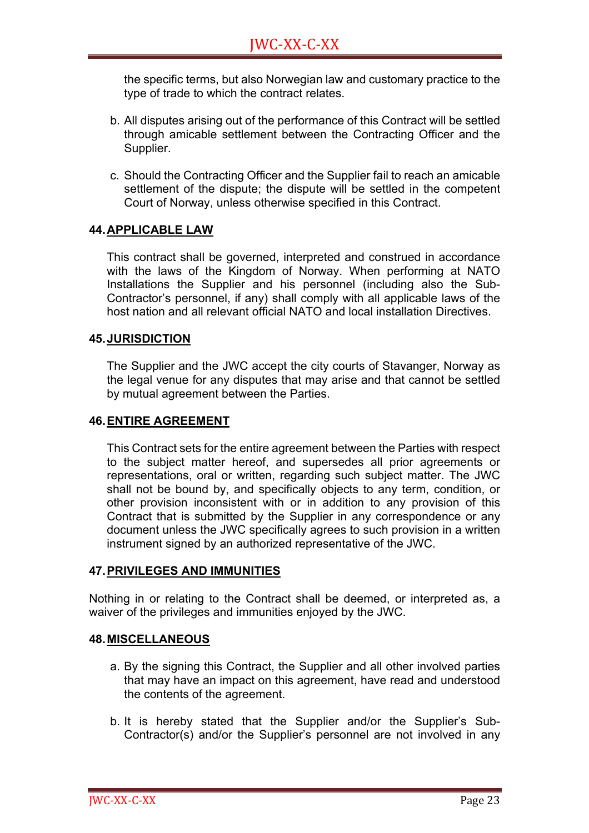the specific terms, but also Norwegian law and customary practice to the type of trade to which the contract relates.

- b. All disputes arising out of the performance of this Contract will be settled through amicable settlement between the Contracting Officer and the Supplier.
- c. Should the Contracting Officer and the Supplier fail to reach an amicable settlement of the dispute; the dispute will be settled in the competent Court of Norway, unless otherwise specified in this Contract.

#### **44.APPLICABLE LAW**

This contract shall be governed, interpreted and construed in accordance with the laws of the Kingdom of Norway. When performing at NATO Installations the Supplier and his personnel (including also the Sub-Contractor's personnel, if any) shall comply with all applicable laws of the host nation and all relevant official NATO and local installation Directives.

#### **45.JURISDICTION**

The Supplier and the JWC accept the city courts of Stavanger, Norway as the legal venue for any disputes that may arise and that cannot be settled by mutual agreement between the Parties.

#### **46.ENTIRE AGREEMENT**

This Contract sets for the entire agreement between the Parties with respect to the subject matter hereof, and supersedes all prior agreements or representations, oral or written, regarding such subject matter. The JWC shall not be bound by, and specifically objects to any term, condition, or other provision inconsistent with or in addition to any provision of this Contract that is submitted by the Supplier in any correspondence or any document unless the JWC specifically agrees to such provision in a written instrument signed by an authorized representative of the JWC.

#### **47.PRIVILEGES AND IMMUNITIES**

Nothing in or relating to the Contract shall be deemed, or interpreted as, a waiver of the privileges and immunities enjoyed by the JWC.

#### **48.MISCELLANEOUS**

- a. By the signing this Contract, the Supplier and all other involved parties that may have an impact on this agreement, have read and understood the contents of the agreement.
- b. It is hereby stated that the Supplier and/or the Supplier's Sub-Contractor(s) and/or the Supplier's personnel are not involved in any